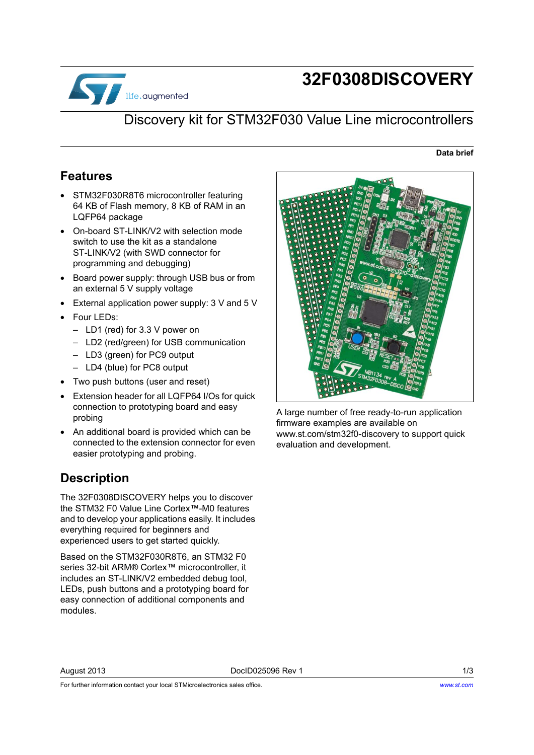

# **32F0308DISCOVERY**

#### Discovery kit for STM32F030 Value Line microcontrollers

#### **Data brief**

#### **Features**

- STM32F030R8T6 microcontroller featuring 64 KB of Flash memory, 8 KB of RAM in an LQFP64 package
- On-board ST-LINK/V2 with selection mode switch to use the kit as a standalone ST-LINK/V2 (with SWD connector for programming and debugging)
- Board power supply: through USB bus or from an external 5 V supply voltage
- External application power supply: 3 V and 5 V
- Four LEDs:
	- LD1 (red) for 3.3 V power on
	- LD2 (red/green) for USB communication
	- LD3 (green) for PC9 output
	- LD4 (blue) for PC8 output
- Two push buttons (user and reset)
- Extension header for all LQFP64 I/Os for quick connection to prototyping board and easy probing
- An additional board is provided which can be connected to the extension connector for even easier prototyping and probing.

#### **Description**

The 32F0308DISCOVERY helps you to discover the STM32 F0 Value Line Cortex™-M0 features and to develop your applications easily. It includes everything required for beginners and experienced users to get started quickly.

Based on the STM32F030R8T6, an STM32 F0 series 32-bit ARM® Cortex™ microcontroller, it includes an ST-LINK/V2 embedded debug tool, LEDs, push buttons and a prototyping board for easy connection of additional components and modules.



A large number of free ready-to-run application firmware examples are available on [www.st.com/stm32f0-discovery to support quick](www.st.com/stm32f0discovery)  [evaluation and development.](www.st.com/stm32f0discovery)

For further information contact your local STMicroelectronics sales office.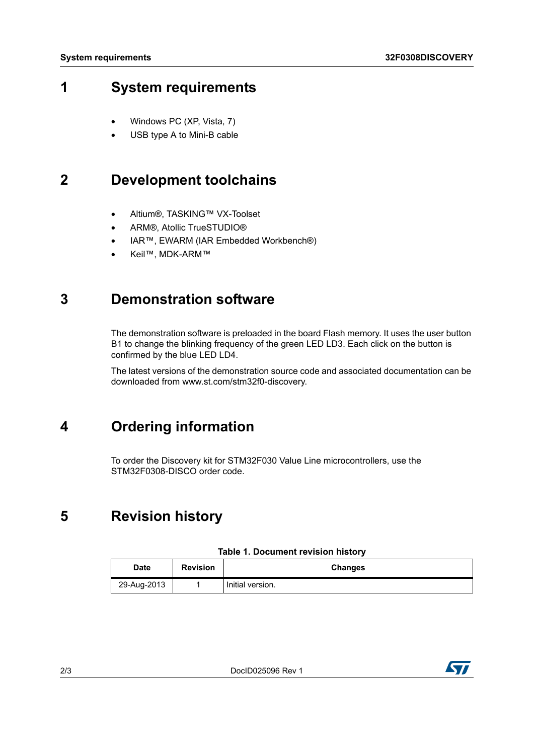### **1 System requirements**

- Windows PC (XP, Vista, 7)
- USB type A to Mini-B cable

### **2 Development toolchains**

- Altium®, TASKING™ VX-Toolset
- ARM®, Atollic TrueSTUDIO®
- IAR™, EWARM (IAR Embedded Workbench®)
- Keil™, MDK-ARM™

#### **3 Demonstration software**

The demonstration software is preloaded in the board Flash memory. It uses the user button B1 to change the blinking frequency of the green LED LD3. Each click on the button is confirmed by the blue LED LD4.

[The latest versions of the demonstration source code and associated documentation can be](www.st.com/stm32f0discovery)  downloaded from www.st.com/stm32f0-discovery.

## **4 Ordering information**

To order the Discovery kit for STM32F030 Value Line microcontrollers, use the STM32F0308-DISCO order code.

## **5 Revision history**

| Date        | <b>Revision</b> | <b>Changes</b>   |
|-------------|-----------------|------------------|
| 29-Aug-2013 |                 | Initial version. |

#### **Table 1. Document revision history**